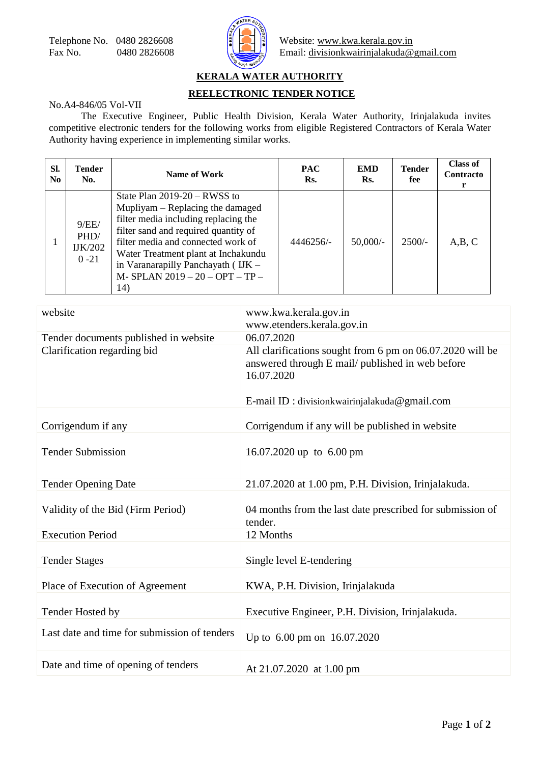

## **KERALA WATER AUTHORITY**

## **REELECTRONIC TENDER NOTICE**

## No.A4-846/05 Vol-VII

The Executive Engineer, Public Health Division, Kerala Water Authority, Irinjalakuda invites competitive electronic tenders for the following works from eligible Registered Contractors of Kerala Water Authority having experience in implementing similar works.

| SI.<br>N <sub>0</sub> | Tender<br>No.                               | Name of Work                                                                                                                                                                                                                                                                                                   | <b>PAC</b><br>Rs. | <b>EMD</b><br>Rs. | <b>Tender</b><br>fee | <b>Class of</b><br><b>Contracto</b><br>r |
|-----------------------|---------------------------------------------|----------------------------------------------------------------------------------------------------------------------------------------------------------------------------------------------------------------------------------------------------------------------------------------------------------------|-------------------|-------------------|----------------------|------------------------------------------|
|                       | 9/EE/<br>PHD/<br><b>IJK/202</b><br>$0 - 21$ | State Plan $2019-20 - RWSS$ to<br>Mupliyam – Replacing the damaged<br>filter media including replacing the<br>filter sand and required quantity of<br>filter media and connected work of<br>Water Treatment plant at Inchakundu<br>in Varanarapilly Panchayath (IJK -<br>M-SPLAN 2019 - 20 - OPT - TP -<br>14) | 4446256/-         | $50,000/-$        | $2500/-$             | A,B,C                                    |

| website                                      | www.kwa.kerala.gov.in<br>www.etenders.kerala.gov.in                                                                                                                           |  |  |  |
|----------------------------------------------|-------------------------------------------------------------------------------------------------------------------------------------------------------------------------------|--|--|--|
| Tender documents published in website        | 06.07.2020                                                                                                                                                                    |  |  |  |
| Clarification regarding bid                  | All clarifications sought from 6 pm on 06.07.2020 will be<br>answered through E mail/ published in web before<br>16.07.2020<br>E-mail ID : division kwairinjalakuda@gmail.com |  |  |  |
| Corrigendum if any                           | Corrigendum if any will be published in website                                                                                                                               |  |  |  |
|                                              |                                                                                                                                                                               |  |  |  |
| <b>Tender Submission</b>                     | 16.07.2020 up to 6.00 pm                                                                                                                                                      |  |  |  |
| <b>Tender Opening Date</b>                   | 21.07.2020 at 1.00 pm, P.H. Division, Irinjalakuda.                                                                                                                           |  |  |  |
| Validity of the Bid (Firm Period)            | 04 months from the last date prescribed for submission of<br>tender.                                                                                                          |  |  |  |
| <b>Execution Period</b>                      | 12 Months                                                                                                                                                                     |  |  |  |
| <b>Tender Stages</b>                         | Single level E-tendering                                                                                                                                                      |  |  |  |
| Place of Execution of Agreement              | KWA, P.H. Division, Irinjalakuda                                                                                                                                              |  |  |  |
| Tender Hosted by                             | Executive Engineer, P.H. Division, Irinjalakuda.                                                                                                                              |  |  |  |
| Last date and time for submission of tenders | Up to 6.00 pm on 16.07.2020                                                                                                                                                   |  |  |  |
| Date and time of opening of tenders          | At 21.07.2020 at 1.00 pm                                                                                                                                                      |  |  |  |